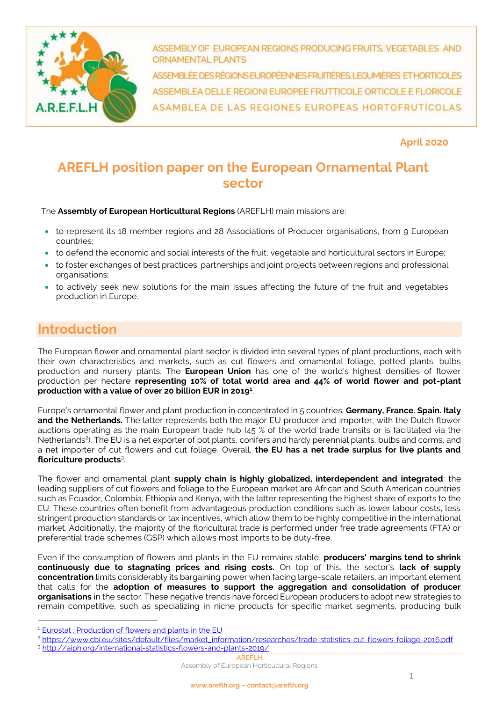

ASSEMBLY OF EUROPEAN REGIONS PRODUCING FRUITS, VEGETABLES AND **ORNAMENTAL PLANTS** 

ASSEMBLÉE DES RÉGIONS EUROPÉENNES FRUMÈRES, LEGUMIÈRES ET HORTICOLES ASSEMBLEA DELLE REGIONI EUROPEE FRUTTICOLE ORTICOLE E FLORICOLE ASAMBLEA DE LAS REGIONES EUROPEAS HORTOFRUTICOLAS

**April 2020**

# **AREFLH position paper on the European Ornamental Plant sector**

The **Assembly of European Horticultural Regions** (AREFLH) main missions are:

- to represent its 18 member regions and 28 Associations of Producer organisations, from 9 European countries;
- to defend the economic and social interests of the fruit, vegetable and horticultural sectors in Europe;
- to foster exchanges of best practices, partnerships and joint projects between regions and professional organisations;
- to actively seek new solutions for the main issues affecting the future of the fruit and vegetables production in Europe.

# **Introduction**

The European flower and ornamental plant sector is divided into several types of plant productions, each with their own characteristics and markets, such as cut flowers and ornamental foliage, potted plants, bulbs production and nursery plants. The **European Union** has one of the world's highest densities of flower production per hectare **representing 10% of total world area and 44% of world flower and pot-plant production with a value of over 20 billion EUR in 2019<sup>1</sup>** .

Europe's ornamental flower and plant production in concentrated in 5 countries: **Germany, France. Spain. Italy and the Netherlands.** The latter represents both the major EU producer and importer, with the Dutch flower auctions operating as the main European trade hub (45 % of the world trade transits or is facilitated via the Netherlands<sup>2</sup>). The EU is a net exporter of pot plants, conifers and hardy perennial plants, bulbs and corms, and a net importer of cut flowers and cut foliage. Overall, **the EU has a net trade surplus for live plants and floriculture products**<sup>3</sup> .

The flower and ornamental plant **supply chain is highly globalized, interdependent and integrated**: the leading suppliers of cut flowers and foliage to the European market are African and South American countries such as Ecuador, Colombia, Ethiopia and Kenya, with the latter representing the highest share of exports to the EU. These countries often benefit from advantageous production conditions such as lower labour costs, less stringent production standards or tax incentives, which allow them to be highly competitive in the international market. Additionally, the majority of the floricultural trade is performed under free trade agreements (FTA) or preferential trade schemes (GSP) which allows most imports to be duty-free.

Even if the consumption of flowers and plants in the EU remains stable, **producers' margins tend to shrink continuously due to stagnating prices and rising costs.** On top of this, the sector's **lack of supply concentration** limits considerably its bargaining power when facing large-scale retailers, an important element that calls for the **adoption of measures to support the aggregation and consolidation of producer organisations** in the sector. These negative trends have forced European producers to adopt new strategies to remain competitive, such as specializing in niche products for specific market segments, producing bulk

**AREFLH**

Assembly of European Horticultural Regions

<sup>&</sup>lt;sup>1</sup> Eurostat [: Production of flowers and plants in the EU](https://ec.europa.eu/info/sites/info/files/food-farming-fisheries/plants_and_plant_products/documents/flowers-ornamental-plants-statistics_en.pdf)

<sup>2</sup> [https://www.cbi.eu/sites/default/files/market\\_information/researches/trade-statistics-cut-flowers-foliage-2016.pdf](https://www.cbi.eu/sites/default/files/market_information/researches/trade-statistics-cut-flowers-foliage-2016.pdf) <sup>3</sup> <http://aiph.org/international-statistics-flowers-and-plants-2019/>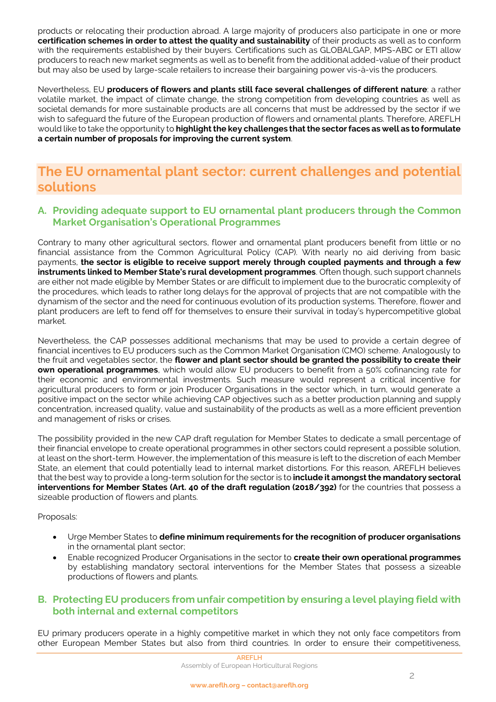products or relocating their production abroad. A large majority of producers also participate in one or more **certification schemes in order to attest the quality and sustainability** of their products as well as to conform with the requirements established by their buyers. Certifications such as GLOBALGAP, MPS-ABC or ETI allow producers to reach new market segments as well as to benefit from the additional added-value of their product but may also be used by large-scale retailers to increase their bargaining power vis-à-vis the producers.

Nevertheless, EU **producers of flowers and plants still face several challenges of different nature**: a rather volatile market, the impact of climate change, the strong competition from developing countries as well as societal demands for more sustainable products are all concerns that must be addressed by the sector if we wish to safeguard the future of the European production of flowers and ornamental plants. Therefore, AREFLH would like to take the opportunity to **highlight the key challenges that the sector faces as well as to formulate a certain number of proposals for improving the current system**.

## **The EU ornamental plant sector: current challenges and potential solutions**

### **A. Providing adequate support to EU ornamental plant producers through the Common Market Organisation's Operational Programmes**

Contrary to many other agricultural sectors, flower and ornamental plant producers benefit from little or no financial assistance from the Common Agricultural Policy (CAP). With nearly no aid deriving from basic payments, **the sector is eligible to receive support merely through coupled payments and through a few instruments linked to Member State's rural development programmes**. Often though, such support channels are either not made eligible by Member States or are difficult to implement due to the burocratic complexity of the procedures, which leads to rather long delays for the approval of projects that are not compatible with the dynamism of the sector and the need for continuous evolution of its production systems. Therefore, flower and plant producers are left to fend off for themselves to ensure their survival in today's hypercompetitive global market.

Nevertheless, the CAP possesses additional mechanisms that may be used to provide a certain degree of financial incentives to EU producers such as the Common Market Organisation (CMO) scheme. Analogously to the fruit and vegetables sector, the **flower and plant sector should be granted the possibility to create their own operational programmes**, which would allow EU producers to benefit from a 50% cofinancing rate for their economic and environmental investments. Such measure would represent a critical incentive for agricultural producers to form or join Producer Organisations in the sector which, in turn, would generate a positive impact on the sector while achieving CAP objectives such as a better production planning and supply concentration, increased quality, value and sustainability of the products as well as a more efficient prevention and management of risks or crises.

The possibility provided in the new CAP draft regulation for Member States to dedicate a small percentage of their financial envelope to create operational programmes in other sectors could represent a possible solution, at least on the short-term. However, the implementation of this measure is left to the discretion of each Member State, an element that could potentially lead to internal market distortions. For this reason, AREFLH believes that the best way to provide a long-term solution for the sector is to **include it amongst the mandatory sectoral interventions for Member States (Art. 40 of the draft regulation (2018/392)** for the countries that possess a sizeable production of flowers and plants.

#### Proposals:

- Urge Member States to **define minimum requirements for the recognition of producer organisations** in the ornamental plant sector;
- Enable recognized Producer Organisations in the sector to **create their own operational programmes** by establishing mandatory sectoral interventions for the Member States that possess a sizeable productions of flowers and plants.

#### **B. Protecting EU producers from unfair competition by ensuring a level playing field with both internal and external competitors**

EU primary producers operate in a highly competitive market in which they not only face competitors from other European Member States but also from third countries. In order to ensure their competitiveness,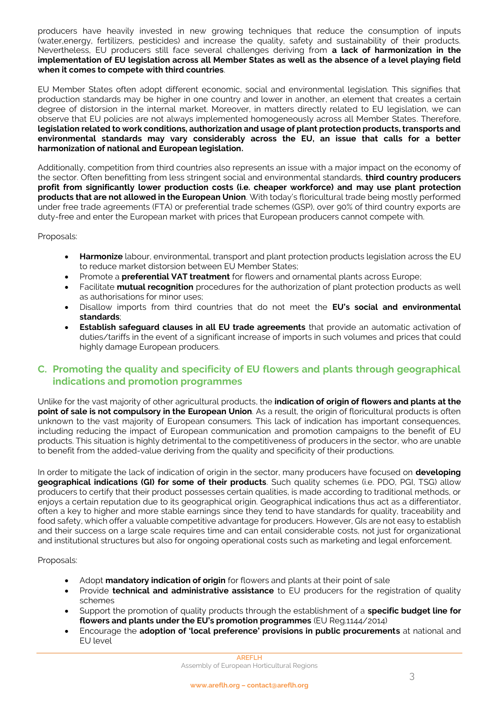producers have heavily invested in new growing techniques that reduce the consumption of inputs (water,energy, fertilizers, pesticides) and increase the quality, safety and sustainability of their products. Nevertheless, EU producers still face several challenges deriving from **a lack of harmonization in the implementation of EU legislation across all Member States as well as the absence of a level playing field when it comes to compete with third countries**.

EU Member States often adopt different economic, social and environmental legislation. This signifies that production standards may be higher in one country and lower in another, an element that creates a certain degree of distorsion in the internal market. Moreover, in matters directly related to EU legislation, we can observe that EU policies are not always implemented homogeneously across all Member States. Therefore, **legislation related to work conditions, authorization and usage of plant protection products, transports and environmental standards may vary considerably across the EU, an issue that calls for a better harmonization of national and European legislation.**

Additionally, competition from third countries also represents an issue with a major impact on the economy of the sector. Often benefitting from less stringent social and environmental standards, **third country producers profit from significantly lower production costs (i.e. cheaper workforce) and may use plant protection products that are not allowed in the European Union**. With today's floricultural trade being mostly performed under free trade agreements (FTA) or preferential trade schemes (GSP), over 90% of third country exports are duty-free and enter the European market with prices that European producers cannot compete with.

Proposals:

- **Harmonize** labour, environmental, transport and plant protection products legislation across the EU to reduce market distorsion between EU Member States;
- Promote a **preferential VAT treatment** for flowers and ornamental plants across Europe;
- Facilitate **mutual recognition** procedures for the authorization of plant protection products as well as authorisations for minor uses;
- Disallow imports from third countries that do not meet the **EU's social and environmental standards**;
- **Establish safeguard clauses in all EU trade agreements** that provide an automatic activation of duties/tariffs in the event of a significant increase of imports in such volumes and prices that could highly damage European producers.

#### **C. Promoting the quality and specificity of EU flowers and plants through geographical indications and promotion programmes**

Unlike for the vast majority of other agricultural products, the **indication of origin of flowers and plants at the point of sale is not compulsory in the European Union**. As a result, the origin of floricultural products is often unknown to the vast majority of European consumers. This lack of indication has important consequences, including reducing the impact of European communication and promotion campaigns to the benefit of EU products. This situation is highly detrimental to the competitiveness of producers in the sector, who are unable to benefit from the added-value deriving from the quality and specificity of their productions.

In order to mitigate the lack of indication of origin in the sector, many producers have focused on **developing geographical indications (GI) for some of their products**. Such quality schemes (i.e. PDO, PGI, TSG) allow producers to certify that their product possesses certain qualities, is made according to traditional methods, or enjoys a certain reputation due to its geographical origin. Geographical indications thus act as a differentiator, often a key to higher and more stable earnings since they tend to have standards for quality, traceability and food safety, which offer a valuable competitive advantage for producers. However, GIs are not easy to establish and their success on a large scale requires time and can entail considerable costs, not just for organizational and institutional structures but also for ongoing operational costs such as marketing and legal enforcement.

Proposals:

- Adopt **mandatory indication of origin** for flowers and plants at their point of sale
- Provide **technical and administrative assistance** to EU producers for the registration of quality schemes
- Support the promotion of quality products through the establishment of a **specific budget line for flowers and plants under the EU's promotion programmes** (EU Reg.1144/2014)
- Encourage the **adoption of 'local preference' provisions in public procurements** at national and EU level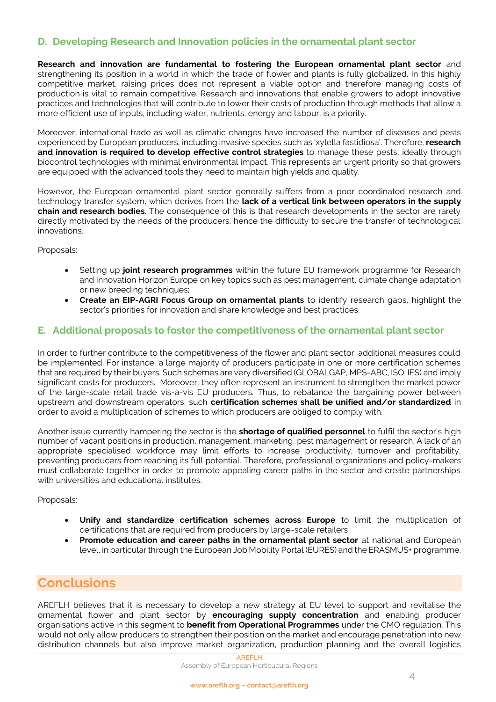#### **D. Developing Research and Innovation policies in the ornamental plant sector**

**Research and innovation are fundamental to fostering the European ornamental plant sector** and strengthening its position in a world in which the trade of flower and plants is fully globalized. In this highly competitive market, raising prices does not represent a viable option and therefore managing costs of production is vital to remain competitive. Research and innovations that enable growers to adopt innovative practices and technologies that will contribute to lower their costs of production through methods that allow a more efficient use of inputs, including water, nutrients, energy and labour, is a priority.

Moreover, international trade as well as climatic changes have increased the number of diseases and pests experienced by European producers, including invasive species such as 'xylella fastidiosa'. Therefore, **research and innovation is required to develop effective control strategies** to manage these pests, ideally through biocontrol technologies with minimal environmental impact. This represents an urgent priority so that growers are equipped with the advanced tools they need to maintain high yields and quality.

However, the European ornamental plant sector generally suffers from a poor coordinated research and technology transfer system, which derives from the **lack of a vertical link between operators in the supply chain and research bodies**. The consequence of this is that research developments in the sector are rarely directly motivated by the needs of the producers, hence the difficulty to secure the transfer of technological innovations.

Proposals:

- Setting up **joint research programmes** within the future EU framework programme for Research and Innovation Horizon Europe on key topics such as pest management, climate change adaptation or new breeding techniques;
- **Create an EIP-AGRI Focus Group on ornamental plants** to identify research gaps, highlight the sector's priorities for innovation and share knowledge and best practices.

#### **E. Additional proposals to foster the competitiveness of the ornamental plant sector**

In order to further contribute to the competitiveness of the flower and plant sector, additional measures could be implemented. For instance, a large majority of producers participate in one or more certification schemes that are required by their buyers. Such schemes are very diversified (GLOBALGAP, MPS-ABC, ISO. IFS) and imply significant costs for producers. Moreover, they often represent an instrument to strengthen the market power of the large-scale retail trade vis-à-vis EU producers. Thus, to rebalance the bargaining power between upstream and downstream operators, such **certification schemes shall be unified and/or standardized** in order to avoid a multiplication of schemes to which producers are obliged to comply with.

Another issue currently hampering the sector is the **shortage of qualified personnel** to fulfil the sector's high number of vacant positions in production, management, marketing, pest management or research. A lack of an appropriate specialised workforce may limit efforts to increase productivity, turnover and profitability, preventing producers from reaching its full potential. Therefore, professional organizations and policy-makers must collaborate together in order to promote appealing career paths in the sector and create partnerships with universities and educational institutes.

Proposals:

- **Unify and standardize certification schemes across Europe** to limit the multiplication of certifications that are required from producers by large-scale retailers
- **Promote education and career paths in the ornamental plant sector** at national and European level, in particular through the European Job Mobility Portal (EURES) and the ERASMUS+ programme.

### **Conclusions**

AREFLH believes that it is necessary to develop a new strategy at EU level to support and revitalise the ornamental flower and plant sector by **encouraging supply concentration** and enabling producer organisations active in this segment to **benefit from Operational Programmes** under the CMO regulation. This would not only allow producers to strengthen their position on the market and encourage penetration into new distribution channels but also improve market organization, production planning and the overall logistics